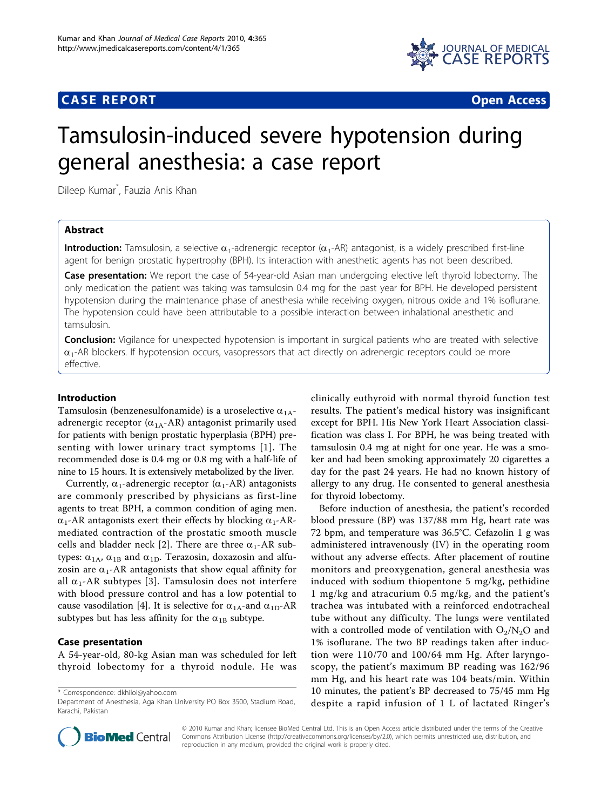# **CASE REPORT CASE REPORT CASE REPORT**



# Tamsulosin-induced severe hypotension during general anesthesia: a case report

Dileep Kumar\* , Fauzia Anis Khan

# Abstract

**Introduction:** Tamsulosin, a selective  $\alpha_1$ -adrenergic receptor  $(\alpha_1$ -AR) antagonist, is a widely prescribed first-line agent for benign prostatic hypertrophy (BPH). Its interaction with anesthetic agents has not been described.

Case presentation: We report the case of 54-year-old Asian man undergoing elective left thyroid lobectomy. The only medication the patient was taking was tamsulosin 0.4 mg for the past year for BPH. He developed persistent hypotension during the maintenance phase of anesthesia while receiving oxygen, nitrous oxide and 1% isoflurane. The hypotension could have been attributable to a possible interaction between inhalational anesthetic and tamsulosin.

**Conclusion:** Vigilance for unexpected hypotension is important in surgical patients who are treated with selective  $\alpha_1$ -AR blockers. If hypotension occurs, vasopressors that act directly on adrenergic receptors could be more effective.

# Introduction

Tamsulosin (benzenesulfonamide) is a uroselective  $\alpha_{1A}$ adrenergic receptor  $(\alpha_{1A}$ -AR) antagonist primarily used for patients with benign prostatic hyperplasia (BPH) presenting with lower urinary tract symptoms [[1](#page-2-0)]. The recommended dose is 0.4 mg or 0.8 mg with a half-life of nine to 15 hours. It is extensively metabolized by the liver.

Currently,  $\alpha_1$ -adrenergic receptor ( $\alpha_1$ -AR) antagonists are commonly prescribed by physicians as first-line agents to treat BPH, a common condition of aging men.  $\alpha_1$ -AR antagonists exert their effects by blocking  $\alpha_1$ -ARmediated contraction of the prostatic smooth muscle cells and bladder neck [\[2](#page-2-0)]. There are three  $\alpha_1$ -AR subtypes:  $\alpha_{1A}$ ,  $\alpha_{1B}$  and  $\alpha_{1D}$ . Terazosin, doxazosin and alfuzosin are  $\alpha_1$ -AR antagonists that show equal affinity for all  $\alpha_1$ -AR subtypes [\[3\]](#page-2-0). Tamsulosin does not interfere with blood pressure control and has a low potential to cause vasodilation [\[4](#page-2-0)]. It is selective for  $\alpha_{1A}$ -and  $\alpha_{1D}$ -AR subtypes but has less affinity for the  $\alpha_{1B}$  subtype.

# Case presentation

A 54-year-old, 80-kg Asian man was scheduled for left thyroid lobectomy for a thyroid nodule. He was

\* Correspondence: [dkhiloi@yahoo.com](mailto:dkhiloi@yahoo.com)

clinically euthyroid with normal thyroid function test results. The patient's medical history was insignificant except for BPH. His New York Heart Association classification was class I. For BPH, he was being treated with tamsulosin 0.4 mg at night for one year. He was a smoker and had been smoking approximately 20 cigarettes a day for the past 24 years. He had no known history of allergy to any drug. He consented to general anesthesia for thyroid lobectomy.

Before induction of anesthesia, the patient's recorded blood pressure (BP) was 137/88 mm Hg, heart rate was 72 bpm, and temperature was 36.5°C. Cefazolin 1 g was administered intravenously (IV) in the operating room without any adverse effects. After placement of routine monitors and preoxygenation, general anesthesia was induced with sodium thiopentone 5 mg/kg, pethidine 1 mg/kg and atracurium 0.5 mg/kg, and the patient's trachea was intubated with a reinforced endotracheal tube without any difficulty. The lungs were ventilated with a controlled mode of ventilation with  $O_2/N_2O$  and 1% isoflurane. The two BP readings taken after induction were 110/70 and 100/64 mm Hg. After laryngoscopy, the patient's maximum BP reading was 162/96 mm Hg, and his heart rate was 104 beats/min. Within 10 minutes, the patient's BP decreased to 75/45 mm Hg despite a rapid infusion of 1 L of lactated Ringer's



© 2010 Kumar and Khan; licensee BioMed Central Ltd. This is an Open Access article distributed under the terms of the Creative Commons Attribution License [\(http://creativecommons.org/licenses/by/2.0](http://creativecommons.org/licenses/by/2.0)), which permits unrestricted use, distribution, and reproduction in any medium, provided the original work is properly cited.

Department of Anesthesia, Aga Khan University PO Box 3500, Stadium Road, Karachi, Pakistan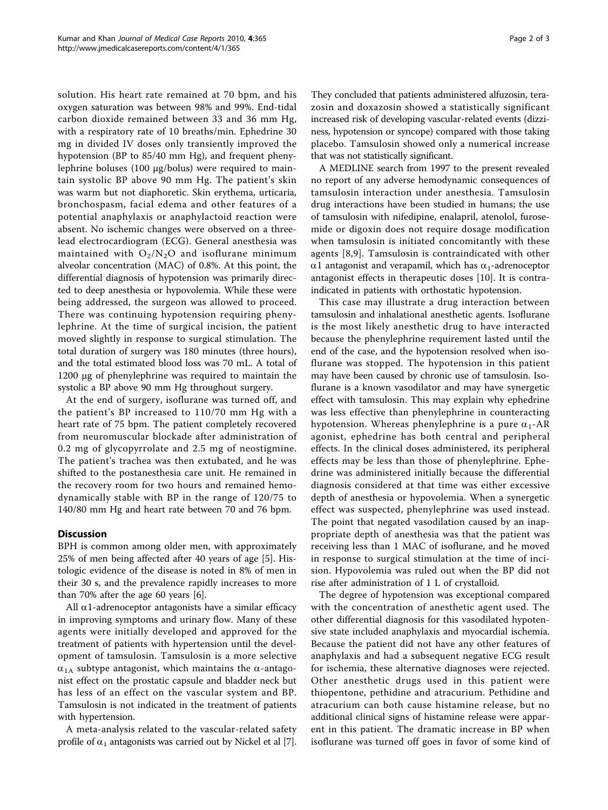solution. His heart rate remained at 70 bpm, and his oxygen saturation was between 98% and 99%. End-tidal carbon dioxide remained between 33 and 36 mm Hg, with a respiratory rate of 10 breaths/min. Ephedrine 30 mg in divided IV doses only transiently improved the hypotension (BP to 85/40 mm Hg), and frequent phenylephrine boluses (100 μg/bolus) were required to maintain systolic BP above 90 mm Hg. The patient's skin was warm but not diaphoretic. Skin erythema, urticaria, bronchospasm, facial edema and other features of a potential anaphylaxis or anaphylactoid reaction were absent. No ischemic changes were observed on a threelead electrocardiogram (ECG). General anesthesia was maintained with  $O_2/N_2O$  and isoflurane minimum alveolar concentration (MAC) of 0.8%. At this point, the differential diagnosis of hypotension was primarily directed to deep anesthesia or hypovolemia. While these were being addressed, the surgeon was allowed to proceed. There was continuing hypotension requiring phenylephrine. At the time of surgical incision, the patient moved slightly in response to surgical stimulation. The total duration of surgery was 180 minutes (three hours), and the total estimated blood loss was 70 mL. A total of 1200 μg of phenylephrine was required to maintain the systolic a BP above 90 mm Hg throughout surgery.

At the end of surgery, isoflurane was turned off, and the patient's BP increased to 110/70 mm Hg with a heart rate of 75 bpm. The patient completely recovered from neuromuscular blockade after administration of 0.2 mg of glycopyrrolate and 2.5 mg of neostigmine. The patient's trachea was then extubated, and he was shifted to the postanesthesia care unit. He remained in the recovery room for two hours and remained hemodynamically stable with BP in the range of 120/75 to 140/80 mm Hg and heart rate between 70 and 76 bpm.

# **Discussion**

BPH is common among older men, with approximately 25% of men being affected after 40 years of age [[5](#page-2-0)]. Histologic evidence of the disease is noted in 8% of men in their 30 s, and the prevalence rapidly increases to more than 70% after the age 60 years [\[6](#page-2-0)].

All  $\alpha$ 1-adrenoceptor antagonists have a similar efficacy in improving symptoms and urinary flow. Many of these agents were initially developed and approved for the treatment of patients with hypertension until the development of tamsulosin. Tamsulosin is a more selective  $\alpha_{1A}$  subtype antagonist, which maintains the  $\alpha$ -antagonist effect on the prostatic capsule and bladder neck but has less of an effect on the vascular system and BP. Tamsulosin is not indicated in the treatment of patients with hypertension.

A meta-analysis related to the vascular-related safety profile of  $\alpha_1$  antagonists was carried out by Nickel et al [[7](#page-2-0)]. They concluded that patients administered alfuzosin, terazosin and doxazosin showed a statistically significant increased risk of developing vascular-related events (dizziness, hypotension or syncope) compared with those taking placebo. Tamsulosin showed only a numerical increase that was not statistically significant.

A MEDLINE search from 1997 to the present revealed no report of any adverse hemodynamic consequences of tamsulosin interaction under anesthesia. Tamsulosin drug interactions have been studied in humans; the use of tamsulosin with nifedipine, enalapril, atenolol, furosemide or digoxin does not require dosage modification when tamsulosin is initiated concomitantly with these agents [[8,9](#page-2-0)]. Tamsulosin is contraindicated with other  $\alpha$ 1 antagonist and verapamil, which has  $\alpha_1$ -adrenoceptor antagonist effects in therapeutic doses [\[10](#page-2-0)]. It is contraindicated in patients with orthostatic hypotension.

This case may illustrate a drug interaction between tamsulosin and inhalational anesthetic agents. Isoflurane is the most likely anesthetic drug to have interacted because the phenylephrine requirement lasted until the end of the case, and the hypotension resolved when isoflurane was stopped. The hypotension in this patient may have been caused by chronic use of tamsulosin. Isoflurane is a known vasodilator and may have synergetic effect with tamsulosin. This may explain why ephedrine was less effective than phenylephrine in counteracting hypotension. Whereas phenylephrine is a pure  $\alpha_1$ -AR agonist, ephedrine has both central and peripheral effects. In the clinical doses administered, its peripheral effects may be less than those of phenylephrine. Ephedrine was administered initially because the differential diagnosis considered at that time was either excessive depth of anesthesia or hypovolemia. When a synergetic effect was suspected, phenylephrine was used instead. The point that negated vasodilation caused by an inappropriate depth of anesthesia was that the patient was receiving less than 1 MAC of isoflurane, and he moved in response to surgical stimulation at the time of incision. Hypovolemia was ruled out when the BP did not rise after administration of 1 L of crystalloid.

The degree of hypotension was exceptional compared with the concentration of anesthetic agent used. The other differential diagnosis for this vasodilated hypotensive state included anaphylaxis and myocardial ischemia. Because the patient did not have any other features of anaphylaxis and had a subsequent negative ECG result for ischemia, these alternative diagnoses were rejected. Other anesthetic drugs used in this patient were thiopentone, pethidine and atracurium. Pethidine and atracurium can both cause histamine release, but no additional clinical signs of histamine release were apparent in this patient. The dramatic increase in BP when isoflurane was turned off goes in favor of some kind of